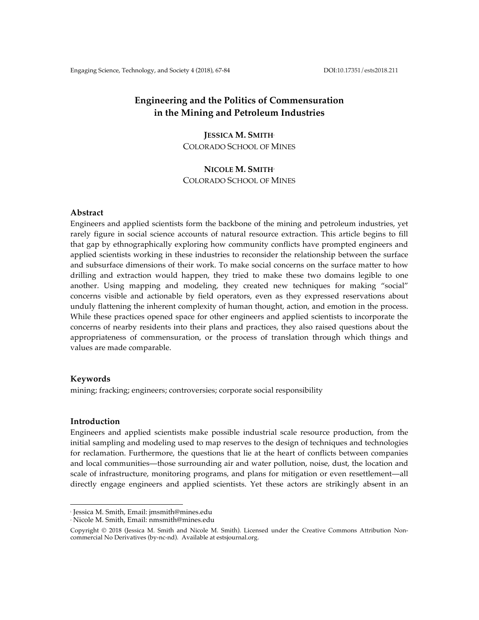# **Engineering and the Politics of Commensuration in the Mining and Petroleum Industries**

# **JESSICA M. SMITH**<sup>1</sup> COLORADO SCHOOL OF MINES

# **NICOLE M. SMITH**<sup>2</sup> COLORADO SCHOOL OF MINES

### **Abstract**

Engineers and applied scientists form the backbone of the mining and petroleum industries, yet rarely figure in social science accounts of natural resource extraction. This article begins to fill that gap by ethnographically exploring how community conflicts have prompted engineers and applied scientists working in these industries to reconsider the relationship between the surface and subsurface dimensions of their work. To make social concerns on the surface matter to how drilling and extraction would happen, they tried to make these two domains legible to one another. Using mapping and modeling, they created new techniques for making "social" concerns visible and actionable by field operators, even as they expressed reservations about unduly flattening the inherent complexity of human thought, action, and emotion in the process. While these practices opened space for other engineers and applied scientists to incorporate the concerns of nearby residents into their plans and practices, they also raised questions about the appropriateness of commensuration, or the process of translation through which things and values are made comparable.

# **Keywords**

mining; fracking; engineers; controversies; corporate social responsibility

# **Introduction**

Engineers and applied scientists make possible industrial scale resource production, from the initial sampling and modeling used to map reserves to the design of techniques and technologies for reclamation. Furthermore, the questions that lie at the heart of conflicts between companies and local communities—those surrounding air and water pollution, noise, dust, the location and scale of infrastructure, monitoring programs, and plans for mitigation or even resettlement—all directly engage engineers and applied scientists. Yet these actors are strikingly absent in an

 

<sup>1</sup> Jessica M. Smith, Email: jmsmith@mines.edu

<sup>2</sup> Nicole M. Smith, Email: nmsmith@mines.edu

Copyright © 2018 (Jessica M. Smith and Nicole M. Smith). Licensed under the Creative Commons Attribution Noncommercial No Derivatives (by-nc-nd). Available at estsjournal.org.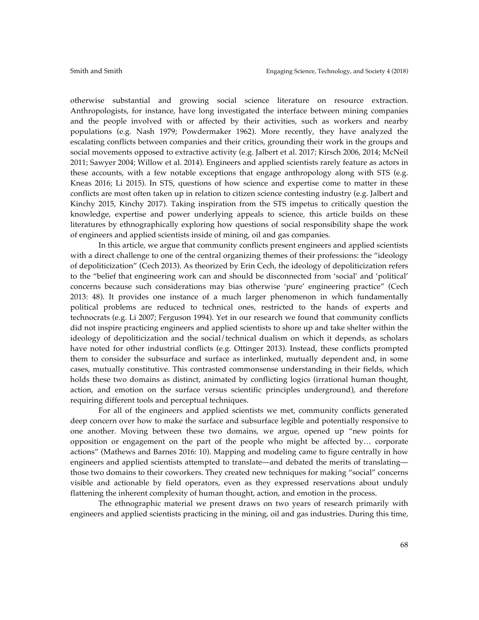otherwise substantial and growing social science literature on resource extraction. Anthropologists, for instance, have long investigated the interface between mining companies and the people involved with or affected by their activities, such as workers and nearby populations (e.g. Nash 1979; Powdermaker 1962). More recently, they have analyzed the escalating conflicts between companies and their critics, grounding their work in the groups and social movements opposed to extractive activity (e.g. Jalbert et al. 2017; Kirsch 2006, 2014; McNeil 2011; Sawyer 2004; Willow et al. 2014). Engineers and applied scientists rarely feature as actors in these accounts, with a few notable exceptions that engage anthropology along with STS (e.g. Kneas 2016; Li 2015). In STS, questions of how science and expertise come to matter in these conflicts are most often taken up in relation to citizen science contesting industry (e.g. Jalbert and Kinchy 2015, Kinchy 2017). Taking inspiration from the STS impetus to critically question the knowledge, expertise and power underlying appeals to science, this article builds on these literatures by ethnographically exploring how questions of social responsibility shape the work of engineers and applied scientists inside of mining, oil and gas companies.

In this article, we argue that community conflicts present engineers and applied scientists with a direct challenge to one of the central organizing themes of their professions: the "ideology of depoliticization" (Cech 2013). As theorized by Erin Cech, the ideology of depoliticization refers to the "belief that engineering work can and should be disconnected from 'social' and 'political' concerns because such considerations may bias otherwise 'pure' engineering practice" (Cech 2013: 48). It provides one instance of a much larger phenomenon in which fundamentally political problems are reduced to technical ones, restricted to the hands of experts and technocrats (e.g. Li 2007; Ferguson 1994). Yet in our research we found that community conflicts did not inspire practicing engineers and applied scientists to shore up and take shelter within the ideology of depoliticization and the social/technical dualism on which it depends, as scholars have noted for other industrial conflicts (e.g. Ottinger 2013). Instead, these conflicts prompted them to consider the subsurface and surface as interlinked, mutually dependent and, in some cases, mutually constitutive. This contrasted commonsense understanding in their fields, which holds these two domains as distinct, animated by conflicting logics (irrational human thought, action, and emotion on the surface versus scientific principles underground), and therefore requiring different tools and perceptual techniques.

For all of the engineers and applied scientists we met, community conflicts generated deep concern over how to make the surface and subsurface legible and potentially responsive to one another. Moving between these two domains, we argue, opened up "new points for opposition or engagement on the part of the people who might be affected by… corporate actions" (Mathews and Barnes 2016: 10). Mapping and modeling came to figure centrally in how engineers and applied scientists attempted to translate—and debated the merits of translating those two domains to their coworkers. They created new techniques for making "social" concerns visible and actionable by field operators, even as they expressed reservations about unduly flattening the inherent complexity of human thought, action, and emotion in the process.

The ethnographic material we present draws on two years of research primarily with engineers and applied scientists practicing in the mining, oil and gas industries. During this time,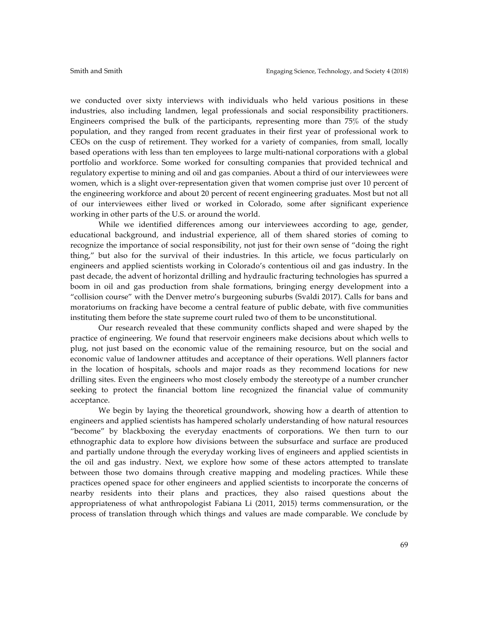we conducted over sixty interviews with individuals who held various positions in these industries, also including landmen, legal professionals and social responsibility practitioners. Engineers comprised the bulk of the participants, representing more than 75% of the study population, and they ranged from recent graduates in their first year of professional work to CEOs on the cusp of retirement. They worked for a variety of companies, from small, locally based operations with less than ten employees to large multi-national corporations with a global portfolio and workforce. Some worked for consulting companies that provided technical and regulatory expertise to mining and oil and gas companies. About a third of our interviewees were women, which is a slight over-representation given that women comprise just over 10 percent of the engineering workforce and about 20 percent of recent engineering graduates. Most but not all of our interviewees either lived or worked in Colorado, some after significant experience working in other parts of the U.S. or around the world.

While we identified differences among our interviewees according to age, gender, educational background, and industrial experience, all of them shared stories of coming to recognize the importance of social responsibility, not just for their own sense of "doing the right thing," but also for the survival of their industries. In this article, we focus particularly on engineers and applied scientists working in Colorado's contentious oil and gas industry. In the past decade, the advent of horizontal drilling and hydraulic fracturing technologies has spurred a boom in oil and gas production from shale formations, bringing energy development into a "collision course" with the Denver metro's burgeoning suburbs (Svaldi 2017). Calls for bans and moratoriums on fracking have become a central feature of public debate, with five communities instituting them before the state supreme court ruled two of them to be unconstitutional.

Our research revealed that these community conflicts shaped and were shaped by the practice of engineering. We found that reservoir engineers make decisions about which wells to plug, not just based on the economic value of the remaining resource, but on the social and economic value of landowner attitudes and acceptance of their operations. Well planners factor in the location of hospitals, schools and major roads as they recommend locations for new drilling sites. Even the engineers who most closely embody the stereotype of a number cruncher seeking to protect the financial bottom line recognized the financial value of community acceptance.

We begin by laying the theoretical groundwork, showing how a dearth of attention to engineers and applied scientists has hampered scholarly understanding of how natural resources "become" by blackboxing the everyday enactments of corporations. We then turn to our ethnographic data to explore how divisions between the subsurface and surface are produced and partially undone through the everyday working lives of engineers and applied scientists in the oil and gas industry. Next, we explore how some of these actors attempted to translate between those two domains through creative mapping and modeling practices. While these practices opened space for other engineers and applied scientists to incorporate the concerns of nearby residents into their plans and practices, they also raised questions about the appropriateness of what anthropologist Fabiana Li (2011, 2015) terms commensuration, or the process of translation through which things and values are made comparable. We conclude by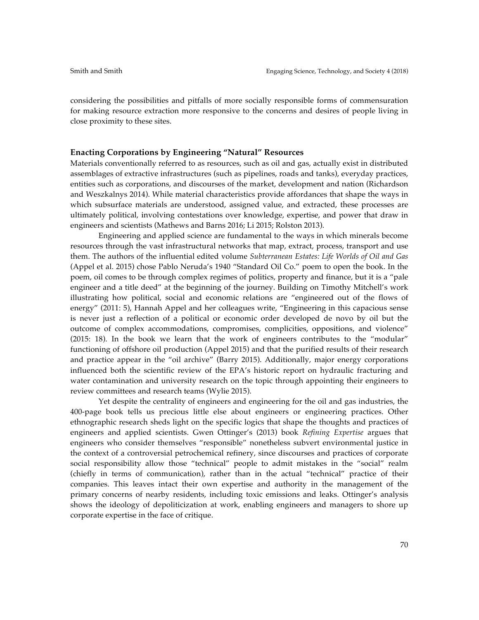considering the possibilities and pitfalls of more socially responsible forms of commensuration for making resource extraction more responsive to the concerns and desires of people living in close proximity to these sites.

#### **Enacting Corporations by Engineering "Natural" Resources**

Materials conventionally referred to as resources, such as oil and gas, actually exist in distributed assemblages of extractive infrastructures (such as pipelines, roads and tanks), everyday practices, entities such as corporations, and discourses of the market, development and nation (Richardson and Weszkalnys 2014). While material characteristics provide affordances that shape the ways in which subsurface materials are understood, assigned value, and extracted, these processes are ultimately political, involving contestations over knowledge, expertise, and power that draw in engineers and scientists (Mathews and Barns 2016; Li 2015; Rolston 2013).

Engineering and applied science are fundamental to the ways in which minerals become resources through the vast infrastructural networks that map, extract, process, transport and use them. The authors of the influential edited volume *Subterranean Estates: Life Worlds of Oil and Gas*  (Appel et al. 2015) chose Pablo Neruda's 1940 "Standard Oil Co." poem to open the book. In the poem, oil comes to be through complex regimes of politics, property and finance, but it is a "pale engineer and a title deed" at the beginning of the journey. Building on Timothy Mitchell's work illustrating how political, social and economic relations are "engineered out of the flows of energy" (2011: 5), Hannah Appel and her colleagues write, "Engineering in this capacious sense is never just a reflection of a political or economic order developed de novo by oil but the outcome of complex accommodations, compromises, complicities, oppositions, and violence" (2015: 18). In the book we learn that the work of engineers contributes to the "modular" functioning of offshore oil production (Appel 2015) and that the purified results of their research and practice appear in the "oil archive" (Barry 2015). Additionally, major energy corporations influenced both the scientific review of the EPA's historic report on hydraulic fracturing and water contamination and university research on the topic through appointing their engineers to review committees and research teams (Wylie 2015).

Yet despite the centrality of engineers and engineering for the oil and gas industries, the 400-page book tells us precious little else about engineers or engineering practices. Other ethnographic research sheds light on the specific logics that shape the thoughts and practices of engineers and applied scientists. Gwen Ottinger's (2013) book *Refining Expertise* argues that engineers who consider themselves "responsible" nonetheless subvert environmental justice in the context of a controversial petrochemical refinery, since discourses and practices of corporate social responsibility allow those "technical" people to admit mistakes in the "social" realm (chiefly in terms of communication), rather than in the actual "technical" practice of their companies. This leaves intact their own expertise and authority in the management of the primary concerns of nearby residents, including toxic emissions and leaks. Ottinger's analysis shows the ideology of depoliticization at work, enabling engineers and managers to shore up corporate expertise in the face of critique.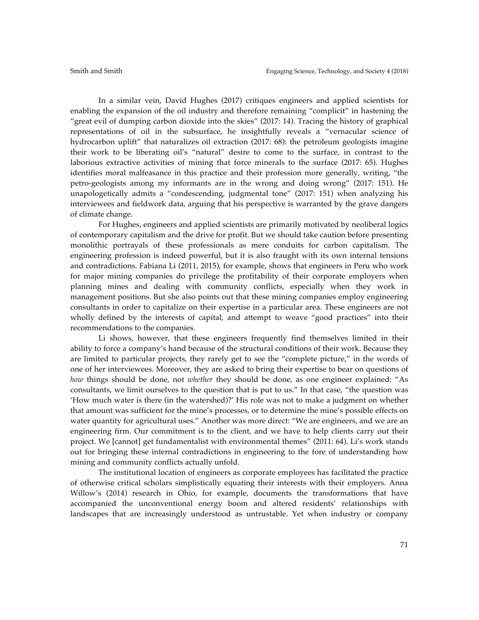In a similar vein, David Hughes (2017) critiques engineers and applied scientists for enabling the expansion of the oil industry and therefore remaining "complicit" in hastening the "great evil of dumping carbon dioxide into the skies" (2017: 14). Tracing the history of graphical representations of oil in the subsurface, he insightfully reveals a "vernacular science of hydrocarbon uplift" that naturalizes oil extraction (2017: 68): the petroleum geologists imagine their work to be liberating oil's "natural" desire to come to the surface, in contrast to the laborious extractive activities of mining that force minerals to the surface (2017: 65). Hughes identifies moral malfeasance in this practice and their profession more generally, writing, "the petro-geologists among my informants are in the wrong and doing wrong" (2017: 151). He unapologetically admits a "condescending, judgmental tone" (2017: 151) when analyzing his interviewees and fieldwork data, arguing that his perspective is warranted by the grave dangers of climate change.

For Hughes, engineers and applied scientists are primarily motivated by neoliberal logics of contemporary capitalism and the drive for profit. But we should take caution before presenting monolithic portrayals of these professionals as mere conduits for carbon capitalism. The engineering profession is indeed powerful, but it is also fraught with its own internal tensions and contradictions. Fabiana Li (2011, 2015), for example, shows that engineers in Peru who work for major mining companies do privilege the profitability of their corporate employers when planning mines and dealing with community conflicts, especially when they work in management positions. But she also points out that these mining companies employ engineering consultants in order to capitalize on their expertise in a particular area. These engineers are not wholly defined by the interests of capital, and attempt to weave "good practices" into their recommendations to the companies.

Li shows, however, that these engineers frequently find themselves limited in their ability to force a company's hand because of the structural conditions of their work. Because they are limited to particular projects, they rarely get to see the "complete picture," in the words of one of her interviewees. Moreover, they are asked to bring their expertise to bear on questions of *how* things should be done, not *whether* they should be done, as one engineer explained: "As consultants, we limit ourselves to the question that is put to us." In that case, "the question was 'How much water is there (in the watershed)?' His role was not to make a judgment on whether that amount was sufficient for the mine's processes, or to determine the mine's possible effects on water quantity for agricultural uses." Another was more direct: "We are engineers, and we are an engineering firm. Our commitment is to the client, and we have to help clients carry out their project. We [cannot] get fundamentalist with environmental themes" (2011: 64). Li's work stands out for bringing these internal contradictions in engineering to the fore of understanding how mining and community conflicts actually unfold.

The institutional location of engineers as corporate employees has facilitated the practice of otherwise critical scholars simplistically equating their interests with their employers. Anna Willow's (2014) research in Ohio, for example, documents the transformations that have accompanied the unconventional energy boom and altered residents' relationships with landscapes that are increasingly understood as untrustable. Yet when industry or company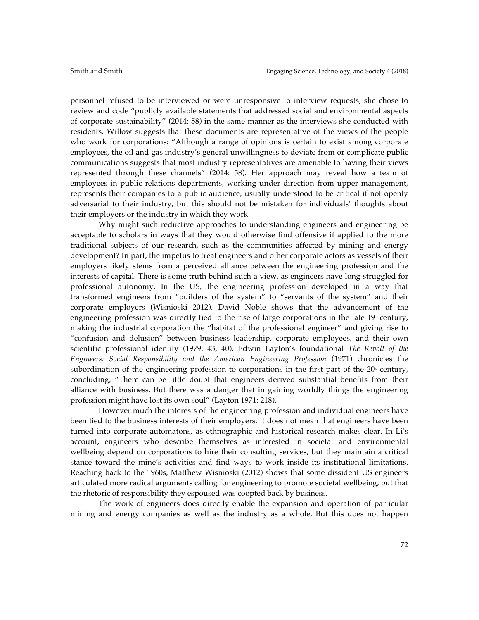personnel refused to be interviewed or were unresponsive to interview requests, she chose to review and code "publicly available statements that addressed social and environmental aspects of corporate sustainability" (2014: 58) in the same manner as the interviews she conducted with residents. Willow suggests that these documents are representative of the views of the people who work for corporations: "Although a range of opinions is certain to exist among corporate employees, the oil and gas industry's general unwillingness to deviate from or complicate public communications suggests that most industry representatives are amenable to having their views represented through these channels" (2014: 58). Her approach may reveal how a team of employees in public relations departments, working under direction from upper management, represents their companies to a public audience, usually understood to be critical if not openly adversarial to their industry, but this should not be mistaken for individuals' thoughts about their employers or the industry in which they work.

Why might such reductive approaches to understanding engineers and engineering be acceptable to scholars in ways that they would otherwise find offensive if applied to the more traditional subjects of our research, such as the communities affected by mining and energy development? In part, the impetus to treat engineers and other corporate actors as vessels of their employers likely stems from a perceived alliance between the engineering profession and the interests of capital. There is some truth behind such a view, as engineers have long struggled for professional autonomy. In the US, the engineering profession developed in a way that transformed engineers from "builders of the system" to "servants of the system" and their corporate employers (Wisnioski 2012). David Noble shows that the advancement of the engineering profession was directly tied to the rise of large corporations in the late  $19<sup>th</sup>$  century, making the industrial corporation the "habitat of the professional engineer" and giving rise to "confusion and delusion" between business leadership, corporate employees, and their own scientific professional identity (1979: 43, 40). Edwin Layton's foundational *The Revolt of the Engineers: Social Responsibility and the American Engineering Profession* (1971) chronicles the subordination of the engineering profession to corporations in the first part of the  $20<sup>*</sup>$  century, concluding, "There can be little doubt that engineers derived substantial benefits from their alliance with business. But there was a danger that in gaining worldly things the engineering profession might have lost its own soul" (Layton 1971: 218).

However much the interests of the engineering profession and individual engineers have been tied to the business interests of their employers, it does not mean that engineers have been turned into corporate automatons, as ethnographic and historical research makes clear. In Li's account, engineers who describe themselves as interested in societal and environmental wellbeing depend on corporations to hire their consulting services, but they maintain a critical stance toward the mine's activities and find ways to work inside its institutional limitations. Reaching back to the 1960s, Matthew Wisnioski (2012) shows that some dissident US engineers articulated more radical arguments calling for engineering to promote societal wellbeing, but that the rhetoric of responsibility they espoused was coopted back by business.

The work of engineers does directly enable the expansion and operation of particular mining and energy companies as well as the industry as a whole. But this does not happen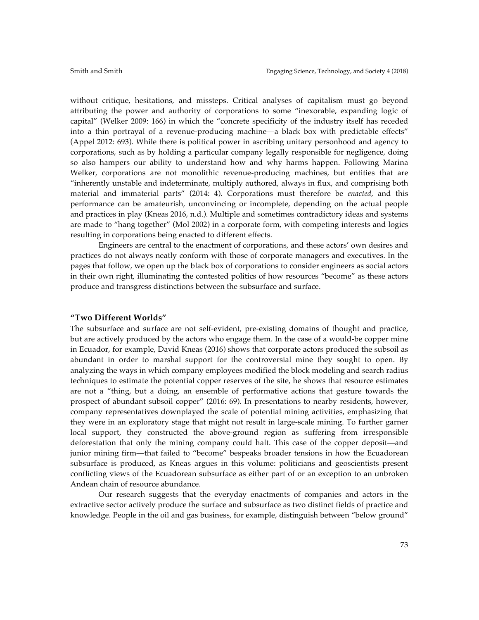without critique, hesitations, and missteps. Critical analyses of capitalism must go beyond attributing the power and authority of corporations to some "inexorable, expanding logic of capital" (Welker 2009: 166) in which the "concrete specificity of the industry itself has receded into a thin portrayal of a revenue-producing machine—a black box with predictable effects" (Appel 2012: 693). While there is political power in ascribing unitary personhood and agency to corporations, such as by holding a particular company legally responsible for negligence, doing so also hampers our ability to understand how and why harms happen. Following Marina Welker, corporations are not monolithic revenue-producing machines, but entities that are "inherently unstable and indeterminate, multiply authored, always in flux, and comprising both material and immaterial parts" (2014: 4). Corporations must therefore be *enacted*, and this performance can be amateurish, unconvincing or incomplete, depending on the actual people and practices in play (Kneas 2016, n.d.). Multiple and sometimes contradictory ideas and systems are made to "hang together" (Mol 2002) in a corporate form, with competing interests and logics resulting in corporations being enacted to different effects.

Engineers are central to the enactment of corporations, and these actors' own desires and practices do not always neatly conform with those of corporate managers and executives. In the pages that follow, we open up the black box of corporations to consider engineers as social actors in their own right, illuminating the contested politics of how resources "become" as these actors produce and transgress distinctions between the subsurface and surface.

## **"Two Different Worlds"**

The subsurface and surface are not self-evident, pre-existing domains of thought and practice, but are actively produced by the actors who engage them. In the case of a would-be copper mine in Ecuador, for example, David Kneas (2016) shows that corporate actors produced the subsoil as abundant in order to marshal support for the controversial mine they sought to open. By analyzing the ways in which company employees modified the block modeling and search radius techniques to estimate the potential copper reserves of the site, he shows that resource estimates are not a "thing, but a doing, an ensemble of performative actions that gesture towards the prospect of abundant subsoil copper" (2016: 69). In presentations to nearby residents, however, company representatives downplayed the scale of potential mining activities, emphasizing that they were in an exploratory stage that might not result in large-scale mining. To further garner local support, they constructed the above-ground region as suffering from irresponsible deforestation that only the mining company could halt. This case of the copper deposit—and junior mining firm—that failed to "become" bespeaks broader tensions in how the Ecuadorean subsurface is produced, as Kneas argues in this volume: politicians and geoscientists present conflicting views of the Ecuadorean subsurface as either part of or an exception to an unbroken Andean chain of resource abundance.

Our research suggests that the everyday enactments of companies and actors in the extractive sector actively produce the surface and subsurface as two distinct fields of practice and knowledge. People in the oil and gas business, for example, distinguish between "below ground"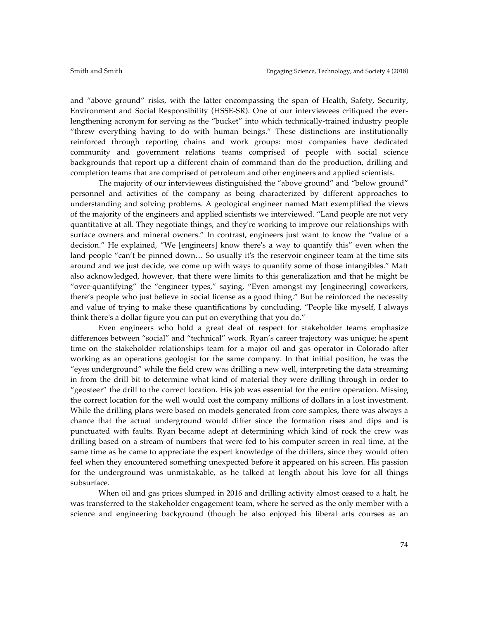and "above ground" risks, with the latter encompassing the span of Health, Safety, Security, Environment and Social Responsibility (HSSE-SR). One of our interviewees critiqued the everlengthening acronym for serving as the "bucket" into which technically-trained industry people "threw everything having to do with human beings." These distinctions are institutionally reinforced through reporting chains and work groups: most companies have dedicated community and government relations teams comprised of people with social science backgrounds that report up a different chain of command than do the production, drilling and completion teams that are comprised of petroleum and other engineers and applied scientists.

The majority of our interviewees distinguished the "above ground" and "below ground" personnel and activities of the company as being characterized by different approaches to understanding and solving problems. A geological engineer named Matt exemplified the views of the majority of the engineers and applied scientists we interviewed. "Land people are not very quantitative at all. They negotiate things, and they're working to improve our relationships with surface owners and mineral owners." In contrast, engineers just want to know the "value of a decision." He explained, "We [engineers] know there's a way to quantify this" even when the land people "can't be pinned down… So usually it's the reservoir engineer team at the time sits around and we just decide, we come up with ways to quantify some of those intangibles." Matt also acknowledged, however, that there were limits to this generalization and that he might be "over-quantifying" the "engineer types," saying, "Even amongst my [engineering] coworkers, there's people who just believe in social license as a good thing." But he reinforced the necessity and value of trying to make these quantifications by concluding, "People like myself, I always think there's a dollar figure you can put on everything that you do."

Even engineers who hold a great deal of respect for stakeholder teams emphasize differences between "social" and "technical" work. Ryan's career trajectory was unique; he spent time on the stakeholder relationships team for a major oil and gas operator in Colorado after working as an operations geologist for the same company. In that initial position, he was the "eyes underground" while the field crew was drilling a new well, interpreting the data streaming in from the drill bit to determine what kind of material they were drilling through in order to "geosteer" the drill to the correct location. His job was essential for the entire operation. Missing the correct location for the well would cost the company millions of dollars in a lost investment. While the drilling plans were based on models generated from core samples, there was always a chance that the actual underground would differ since the formation rises and dips and is punctuated with faults. Ryan became adept at determining which kind of rock the crew was drilling based on a stream of numbers that were fed to his computer screen in real time, at the same time as he came to appreciate the expert knowledge of the drillers, since they would often feel when they encountered something unexpected before it appeared on his screen. His passion for the underground was unmistakable, as he talked at length about his love for all things subsurface.

When oil and gas prices slumped in 2016 and drilling activity almost ceased to a halt, he was transferred to the stakeholder engagement team, where he served as the only member with a science and engineering background (though he also enjoyed his liberal arts courses as an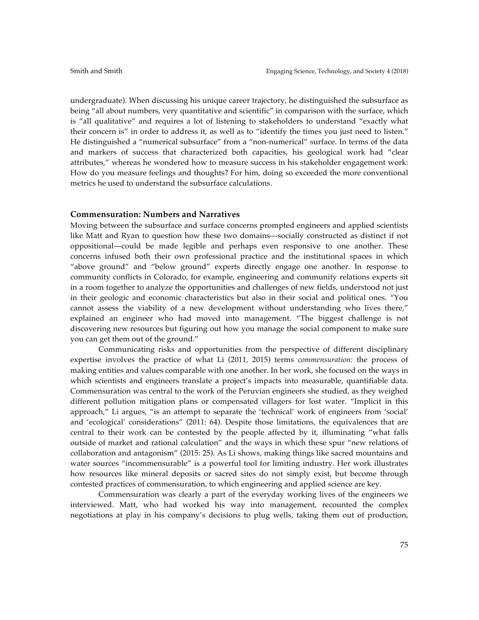undergraduate). When discussing his unique career trajectory, he distinguished the subsurface as being "all about numbers, very quantitative and scientific" in comparison with the surface, which is "all qualitative" and requires a lot of listening to stakeholders to understand "exactly what their concern is" in order to address it, as well as to "identify the times you just need to listen." He distinguished a "numerical subsurface" from a "non-numerical" surface. In terms of the data and markers of success that characterized both capacities, his geological work had "clear attributes," whereas he wondered how to measure success in his stakeholder engagement work: How do you measure feelings and thoughts? For him, doing so exceeded the more conventional metrics he used to understand the subsurface calculations.

## **Commensuration: Numbers and Narratives**

Moving between the subsurface and surface concerns prompted engineers and applied scientists like Matt and Ryan to question how these two domains—socially constructed as distinct if not oppositional—could be made legible and perhaps even responsive to one another. These concerns infused both their own professional practice and the institutional spaces in which "above ground" and "below ground" experts directly engage one another. In response to community conflicts in Colorado, for example, engineering and community relations experts sit in a room together to analyze the opportunities and challenges of new fields, understood not just in their geologic and economic characteristics but also in their social and political ones. "You cannot assess the viability of a new development without understanding who lives there," explained an engineer who had moved into management. "The biggest challenge is not discovering new resources but figuring out how you manage the social component to make sure you can get them out of the ground."

Communicating risks and opportunities from the perspective of different disciplinary expertise involves the practice of what Li (2011, 2015) terms *commensuration:* the process of making entities and values comparable with one another. In her work, she focused on the ways in which scientists and engineers translate a project's impacts into measurable, quantifiable data. Commensuration was central to the work of the Peruvian engineers she studied, as they weighed different pollution mitigation plans or compensated villagers for lost water. "Implicit in this approach," Li argues, "is an attempt to separate the 'technical' work of engineers from 'social' and 'ecological' considerations" (2011: 64). Despite those limitations, the equivalences that are central to their work can be contested by the people affected by it, illuminating "what falls outside of market and rational calculation" and the ways in which these spur "new relations of collaboration and antagonism" (2015: 25). As Li shows, making things like sacred mountains and water sources "incommensurable" is a powerful tool for limiting industry. Her work illustrates how resources like mineral deposits or sacred sites do not simply exist, but become through contested practices of commensuration, to which engineering and applied science are key.

Commensuration was clearly a part of the everyday working lives of the engineers we interviewed. Matt, who had worked his way into management, recounted the complex negotiations at play in his company's decisions to plug wells, taking them out of production,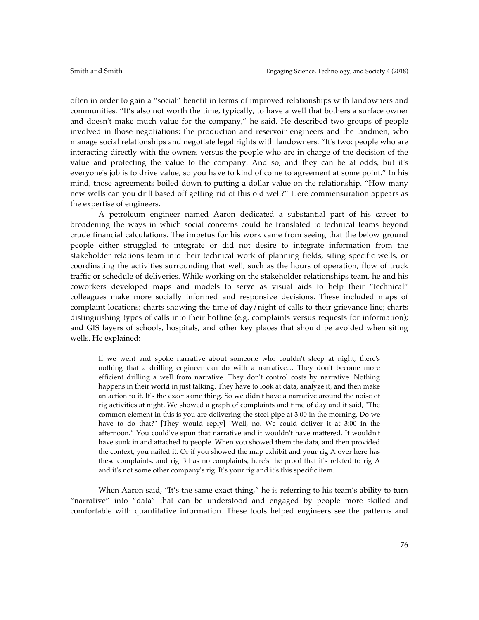often in order to gain a "social" benefit in terms of improved relationships with landowners and communities. "It's also not worth the time, typically, to have a well that bothers a surface owner and doesn't make much value for the company," he said. He described two groups of people involved in those negotiations: the production and reservoir engineers and the landmen, who manage social relationships and negotiate legal rights with landowners. "It's two: people who are interacting directly with the owners versus the people who are in charge of the decision of the value and protecting the value to the company. And so, and they can be at odds, but it's everyone's job is to drive value, so you have to kind of come to agreement at some point." In his mind, those agreements boiled down to putting a dollar value on the relationship. "How many new wells can you drill based off getting rid of this old well?" Here commensuration appears as the expertise of engineers.

A petroleum engineer named Aaron dedicated a substantial part of his career to broadening the ways in which social concerns could be translated to technical teams beyond crude financial calculations. The impetus for his work came from seeing that the below ground people either struggled to integrate or did not desire to integrate information from the stakeholder relations team into their technical work of planning fields, siting specific wells, or coordinating the activities surrounding that well, such as the hours of operation, flow of truck traffic or schedule of deliveries. While working on the stakeholder relationships team, he and his coworkers developed maps and models to serve as visual aids to help their "technical" colleagues make more socially informed and responsive decisions. These included maps of complaint locations; charts showing the time of day/night of calls to their grievance line; charts distinguishing types of calls into their hotline (e.g. complaints versus requests for information); and GIS layers of schools, hospitals, and other key places that should be avoided when siting wells. He explained:

If we went and spoke narrative about someone who couldn't sleep at night, there's nothing that a drilling engineer can do with a narrative… They don't become more efficient drilling a well from narrative. They don't control costs by narrative. Nothing happens in their world in just talking. They have to look at data, analyze it, and then make an action to it. It's the exact same thing. So we didn't have a narrative around the noise of rig activities at night. We showed a graph of complaints and time of day and it said, "The common element in this is you are delivering the steel pipe at 3:00 in the morning. Do we have to do that?" [They would reply] "Well, no. We could deliver it at 3:00 in the afternoon." You could've spun that narrative and it wouldn't have mattered. It wouldn't have sunk in and attached to people. When you showed them the data, and then provided the context, you nailed it. Or if you showed the map exhibit and your rig A over here has these complaints, and rig B has no complaints, here's the proof that it's related to rig A and it's not some other company's rig. It's your rig and it's this specific item.

When Aaron said, "It's the same exact thing," he is referring to his team's ability to turn "narrative" into "data" that can be understood and engaged by people more skilled and comfortable with quantitative information. These tools helped engineers see the patterns and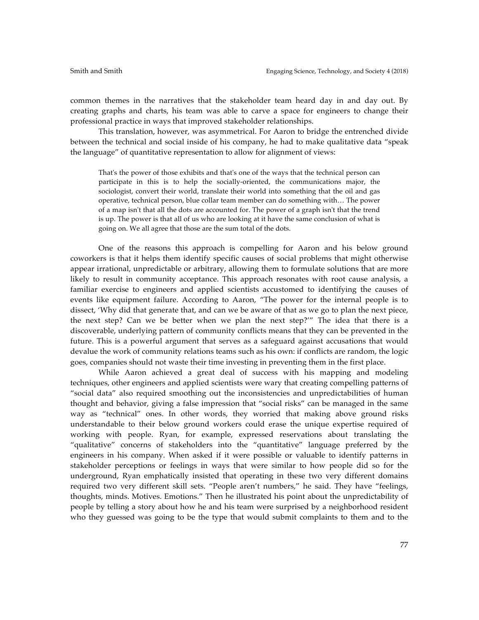common themes in the narratives that the stakeholder team heard day in and day out. By creating graphs and charts, his team was able to carve a space for engineers to change their professional practice in ways that improved stakeholder relationships.

This translation, however, was asymmetrical. For Aaron to bridge the entrenched divide between the technical and social inside of his company, he had to make qualitative data "speak the language" of quantitative representation to allow for alignment of views:

That's the power of those exhibits and that's one of the ways that the technical person can participate in this is to help the socially-oriented, the communications major, the sociologist, convert their world, translate their world into something that the oil and gas operative, technical person, blue collar team member can do something with… The power of a map isn't that all the dots are accounted for. The power of a graph isn't that the trend is up. The power is that all of us who are looking at it have the same conclusion of what is going on. We all agree that those are the sum total of the dots.

One of the reasons this approach is compelling for Aaron and his below ground coworkers is that it helps them identify specific causes of social problems that might otherwise appear irrational, unpredictable or arbitrary, allowing them to formulate solutions that are more likely to result in community acceptance. This approach resonates with root cause analysis, a familiar exercise to engineers and applied scientists accustomed to identifying the causes of events like equipment failure. According to Aaron, "The power for the internal people is to dissect, 'Why did that generate that, and can we be aware of that as we go to plan the next piece, the next step? Can we be better when we plan the next step?'" The idea that there is a discoverable, underlying pattern of community conflicts means that they can be prevented in the future. This is a powerful argument that serves as a safeguard against accusations that would devalue the work of community relations teams such as his own: if conflicts are random, the logic goes, companies should not waste their time investing in preventing them in the first place.

While Aaron achieved a great deal of success with his mapping and modeling techniques, other engineers and applied scientists were wary that creating compelling patterns of "social data" also required smoothing out the inconsistencies and unpredictabilities of human thought and behavior, giving a false impression that "social risks" can be managed in the same way as "technical" ones. In other words, they worried that making above ground risks understandable to their below ground workers could erase the unique expertise required of working with people. Ryan, for example, expressed reservations about translating the "qualitative" concerns of stakeholders into the "quantitative" language preferred by the engineers in his company. When asked if it were possible or valuable to identify patterns in stakeholder perceptions or feelings in ways that were similar to how people did so for the underground, Ryan emphatically insisted that operating in these two very different domains required two very different skill sets. "People aren't numbers," he said. They have "feelings, thoughts, minds. Motives. Emotions." Then he illustrated his point about the unpredictability of people by telling a story about how he and his team were surprised by a neighborhood resident who they guessed was going to be the type that would submit complaints to them and to the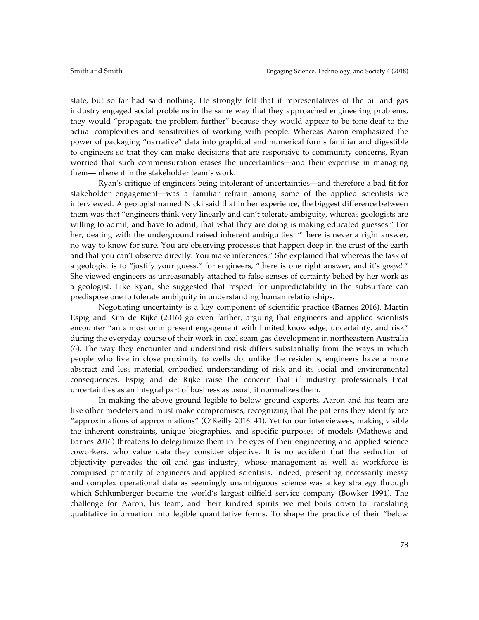state, but so far had said nothing. He strongly felt that if representatives of the oil and gas industry engaged social problems in the same way that they approached engineering problems, they would "propagate the problem further" because they would appear to be tone deaf to the actual complexities and sensitivities of working with people. Whereas Aaron emphasized the power of packaging "narrative" data into graphical and numerical forms familiar and digestible to engineers so that they can make decisions that are responsive to community concerns, Ryan worried that such commensuration erases the uncertainties—and their expertise in managing them—inherent in the stakeholder team's work.

Ryan's critique of engineers being intolerant of uncertainties—and therefore a bad fit for stakeholder engagement—was a familiar refrain among some of the applied scientists we interviewed. A geologist named Nicki said that in her experience, the biggest difference between them was that "engineers think very linearly and can't tolerate ambiguity, whereas geologists are willing to admit, and have to admit, that what they are doing is making educated guesses." For her, dealing with the underground raised inherent ambiguities. "There is never a right answer, no way to know for sure. You are observing processes that happen deep in the crust of the earth and that you can't observe directly. You make inferences." She explained that whereas the task of a geologist is to "justify your guess," for engineers, "there is one right answer, and it's *gospel.*" She viewed engineers as unreasonably attached to false senses of certainty belied by her work as a geologist. Like Ryan, she suggested that respect for unpredictability in the subsurface can predispose one to tolerate ambiguity in understanding human relationships.

Negotiating uncertainty is a key component of scientific practice (Barnes 2016). Martin Espig and Kim de Rijke (2016) go even farther, arguing that engineers and applied scientists encounter "an almost omnipresent engagement with limited knowledge, uncertainty, and risk" during the everyday course of their work in coal seam gas development in northeastern Australia (6). The way they encounter and understand risk differs substantially from the ways in which people who live in close proximity to wells do; unlike the residents, engineers have a more abstract and less material, embodied understanding of risk and its social and environmental consequences. Espig and de Rijke raise the concern that if industry professionals treat uncertainties as an integral part of business as usual, it normalizes them.

In making the above ground legible to below ground experts, Aaron and his team are like other modelers and must make compromises, recognizing that the patterns they identify are "approximations of approximations" (O'Reilly 2016: 41). Yet for our interviewees, making visible the inherent constraints, unique biographies, and specific purposes of models (Mathews and Barnes 2016) threatens to delegitimize them in the eyes of their engineering and applied science coworkers, who value data they consider objective. It is no accident that the seduction of objectivity pervades the oil and gas industry, whose management as well as workforce is comprised primarily of engineers and applied scientists. Indeed, presenting necessarily messy and complex operational data as seemingly unambiguous science was a key strategy through which Schlumberger became the world's largest oilfield service company (Bowker 1994). The challenge for Aaron, his team, and their kindred spirits we met boils down to translating qualitative information into legible quantitative forms. To shape the practice of their "below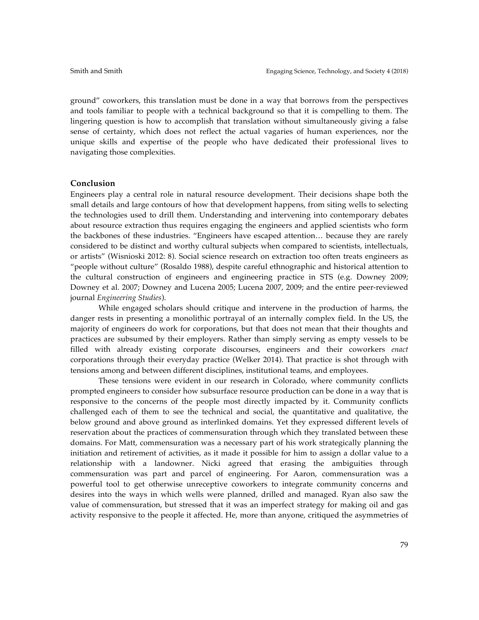ground" coworkers, this translation must be done in a way that borrows from the perspectives and tools familiar to people with a technical background so that it is compelling to them. The lingering question is how to accomplish that translation without simultaneously giving a false sense of certainty, which does not reflect the actual vagaries of human experiences, nor the unique skills and expertise of the people who have dedicated their professional lives to navigating those complexities.

#### **Conclusion**

Engineers play a central role in natural resource development. Their decisions shape both the small details and large contours of how that development happens, from siting wells to selecting the technologies used to drill them. Understanding and intervening into contemporary debates about resource extraction thus requires engaging the engineers and applied scientists who form the backbones of these industries. "Engineers have escaped attention… because they are rarely considered to be distinct and worthy cultural subjects when compared to scientists, intellectuals, or artists" (Wisnioski 2012: 8). Social science research on extraction too often treats engineers as "people without culture" (Rosaldo 1988), despite careful ethnographic and historical attention to the cultural construction of engineers and engineering practice in STS (e.g. Downey 2009; Downey et al. 2007; Downey and Lucena 2005; Lucena 2007, 2009; and the entire peer-reviewed journal *Engineering Studies*).

While engaged scholars should critique and intervene in the production of harms, the danger rests in presenting a monolithic portrayal of an internally complex field. In the US, the majority of engineers do work for corporations, but that does not mean that their thoughts and practices are subsumed by their employers. Rather than simply serving as empty vessels to be filled with already existing corporate discourses, engineers and their coworkers *enact* corporations through their everyday practice (Welker 2014). That practice is shot through with tensions among and between different disciplines, institutional teams, and employees.

These tensions were evident in our research in Colorado, where community conflicts prompted engineers to consider how subsurface resource production can be done in a way that is responsive to the concerns of the people most directly impacted by it. Community conflicts challenged each of them to see the technical and social, the quantitative and qualitative, the below ground and above ground as interlinked domains. Yet they expressed different levels of reservation about the practices of commensuration through which they translated between these domains. For Matt, commensuration was a necessary part of his work strategically planning the initiation and retirement of activities, as it made it possible for him to assign a dollar value to a relationship with a landowner. Nicki agreed that erasing the ambiguities through commensuration was part and parcel of engineering. For Aaron, commensuration was a powerful tool to get otherwise unreceptive coworkers to integrate community concerns and desires into the ways in which wells were planned, drilled and managed. Ryan also saw the value of commensuration, but stressed that it was an imperfect strategy for making oil and gas activity responsive to the people it affected. He, more than anyone, critiqued the asymmetries of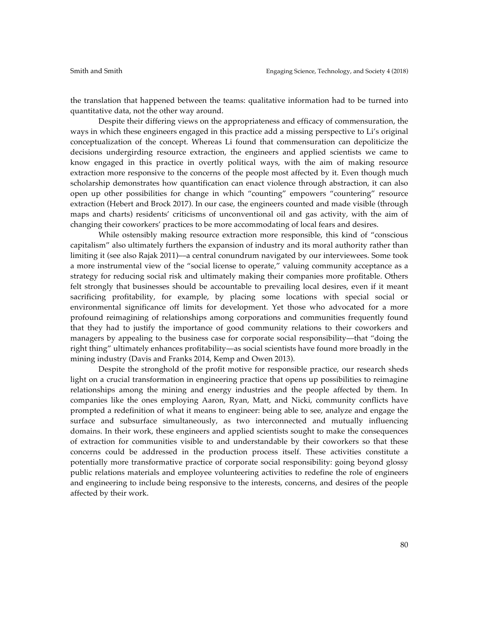the translation that happened between the teams: qualitative information had to be turned into quantitative data, not the other way around.

Despite their differing views on the appropriateness and efficacy of commensuration, the ways in which these engineers engaged in this practice add a missing perspective to Li's original conceptualization of the concept. Whereas Li found that commensuration can depoliticize the decisions undergirding resource extraction, the engineers and applied scientists we came to know engaged in this practice in overtly political ways, with the aim of making resource extraction more responsive to the concerns of the people most affected by it. Even though much scholarship demonstrates how quantification can enact violence through abstraction, it can also open up other possibilities for change in which "counting" empowers "countering" resource extraction (Hebert and Brock 2017). In our case, the engineers counted and made visible (through maps and charts) residents' criticisms of unconventional oil and gas activity, with the aim of changing their coworkers' practices to be more accommodating of local fears and desires.

While ostensibly making resource extraction more responsible, this kind of "conscious capitalism" also ultimately furthers the expansion of industry and its moral authority rather than limiting it (see also Rajak 2011)––a central conundrum navigated by our interviewees. Some took a more instrumental view of the "social license to operate," valuing community acceptance as a strategy for reducing social risk and ultimately making their companies more profitable. Others felt strongly that businesses should be accountable to prevailing local desires, even if it meant sacrificing profitability, for example, by placing some locations with special social or environmental significance off limits for development. Yet those who advocated for a more profound reimagining of relationships among corporations and communities frequently found that they had to justify the importance of good community relations to their coworkers and managers by appealing to the business case for corporate social responsibility––that "doing the right thing" ultimately enhances profitability––as social scientists have found more broadly in the mining industry (Davis and Franks 2014, Kemp and Owen 2013).

Despite the stronghold of the profit motive for responsible practice, our research sheds light on a crucial transformation in engineering practice that opens up possibilities to reimagine relationships among the mining and energy industries and the people affected by them. In companies like the ones employing Aaron, Ryan, Matt, and Nicki, community conflicts have prompted a redefinition of what it means to engineer: being able to see, analyze and engage the surface and subsurface simultaneously, as two interconnected and mutually influencing domains. In their work, these engineers and applied scientists sought to make the consequences of extraction for communities visible to and understandable by their coworkers so that these concerns could be addressed in the production process itself. These activities constitute a potentially more transformative practice of corporate social responsibility: going beyond glossy public relations materials and employee volunteering activities to redefine the role of engineers and engineering to include being responsive to the interests, concerns, and desires of the people affected by their work.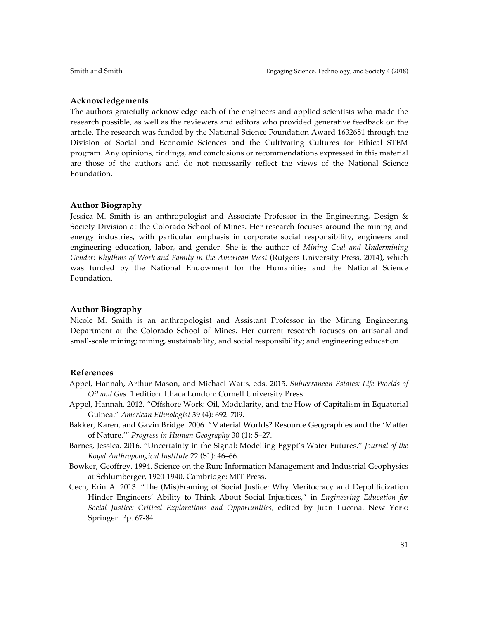### **Acknowledgements**

The authors gratefully acknowledge each of the engineers and applied scientists who made the research possible, as well as the reviewers and editors who provided generative feedback on the article. The research was funded by the National Science Foundation Award 1632651 through the Division of Social and Economic Sciences and the Cultivating Cultures for Ethical STEM program. Any opinions, findings, and conclusions or recommendations expressed in this material are those of the authors and do not necessarily reflect the views of the National Science Foundation.

#### **Author Biography**

Jessica M. Smith is an anthropologist and Associate Professor in the Engineering, Design & Society Division at the Colorado School of Mines. Her research focuses around the mining and energy industries, with particular emphasis in corporate social responsibility, engineers and engineering education, labor, and gender. She is the author of *Mining Coal and Undermining Gender: Rhythms of Work and Family in the American West* (Rutgers University Press, 2014), which was funded by the National Endowment for the Humanities and the National Science Foundation.

#### **Author Biography**

Nicole M. Smith is an anthropologist and Assistant Professor in the Mining Engineering Department at the Colorado School of Mines. Her current research focuses on artisanal and small-scale mining; mining, sustainability, and social responsibility; and engineering education.

#### **References**

- Appel, Hannah, Arthur Mason, and Michael Watts, eds. 2015. *Subterranean Estates: Life Worlds of Oil and Gas*. 1 edition. Ithaca London: Cornell University Press.
- Appel, Hannah. 2012. "Offshore Work: Oil, Modularity, and the How of Capitalism in Equatorial Guinea." *American Ethnologist* 39 (4): 692–709.
- Bakker, Karen, and Gavin Bridge. 2006. "Material Worlds? Resource Geographies and the 'Matter of Nature.'" *Progress in Human Geography* 30 (1): 5–27.
- Barnes, Jessica. 2016. "Uncertainty in the Signal: Modelling Egypt's Water Futures." *Journal of the Royal Anthropological Institute* 22 (S1): 46–66.
- Bowker, Geoffrey. 1994. Science on the Run: Information Management and Industrial Geophysics at Schlumberger, 1920-1940. Cambridge: MIT Press.
- Cech, Erin A. 2013. "The (Mis)Framing of Social Justice: Why Meritocracy and Depoliticization Hinder Engineers' Ability to Think About Social Injustices," in *Engineering Education for Social Justice: Critical Explorations and Opportunities,* edited by Juan Lucena. New York: Springer. Pp. 67-84.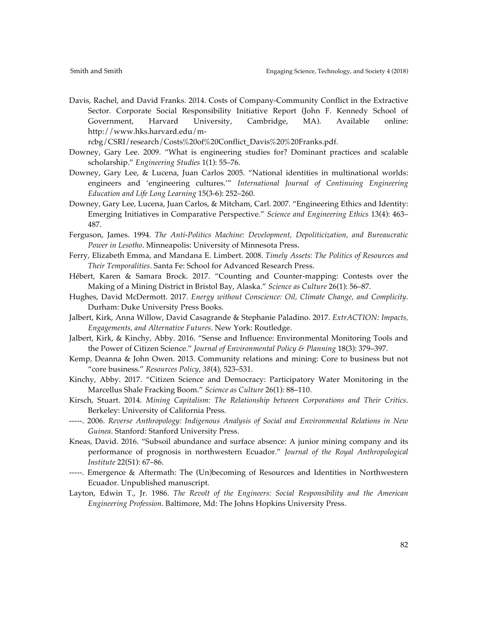Davis, Rachel, and David Franks. 2014. Costs of Company-Community Conflict in the Extractive Sector. Corporate Social Responsibility Initiative Report (John F. Kennedy School of Government, Harvard University, Cambridge, MA). Available online: http://www.hks.harvard.edu/m-

rcbg/CSRI/research/Costs%20of%20Conflict\_Davis%20%20Franks.pdf.

- Downey, Gary Lee. 2009. "What is engineering studies for? Dominant practices and scalable scholarship." *Engineering Studies* 1(1): 55–76.
- Downey, Gary Lee, & Lucena, Juan Carlos 2005. "National identities in multinational worlds: engineers and 'engineering cultures.'" *International Journal of Continuing Engineering Education and Life Long Learning* 15(3-6): 252–260.
- Downey, Gary Lee, Lucena, Juan Carlos, & Mitcham, Carl. 2007. "Engineering Ethics and Identity: Emerging Initiatives in Comparative Perspective." *Science and Engineering Ethics* 13(4): 463– 487.
- Ferguson, James. 1994. *The Anti-Politics Machine: Development, Depoliticization, and Bureaucratic Power in Lesotho*. Minneapolis: University of Minnesota Press.
- Ferry, Elizabeth Emma, and Mandana E. Limbert. 2008. *Timely Assets: The Politics of Resources and Their Temporalities*. Santa Fe: School for Advanced Research Press.
- Hébert, Karen & Samara Brock. 2017. "Counting and Counter-mapping: Contests over the Making of a Mining District in Bristol Bay, Alaska." *Science as Culture* 26(1): 56–87.
- Hughes, David McDermott. 2017. *Energy without Conscience: Oil, Climate Change, and Complicity*. Durham: Duke University Press Books.
- Jalbert, Kirk, Anna Willow, David Casagrande & Stephanie Paladino. 2017. *ExtrACTION: Impacts, Engagements, and Alternative Futures*. New York: Routledge.
- Jalbert, Kirk, & Kinchy, Abby. 2016. "Sense and Influence: Environmental Monitoring Tools and the Power of Citizen Science." *Journal of Environmental Policy & Planning* 18(3): 379–397.
- Kemp, Deanna & John Owen. 2013. Community relations and mining: Core to business but not "core business." *Resources Policy*, *38*(4), 523–531.
- Kinchy, Abby. 2017. "Citizen Science and Democracy: Participatory Water Monitoring in the Marcellus Shale Fracking Boom." *Science as Culture* 26(1): 88–110.
- Kirsch, Stuart. 2014. *Mining Capitalism: The Relationship between Corporations and Their Critics*. Berkeley: University of California Press.
- -----. 2006. *Reverse Anthropology: Indigenous Analysis of Social and Environmental Relations in New Guinea*. Stanford: Stanford University Press.
- Kneas, David. 2016. "Subsoil abundance and surface absence: A junior mining company and its performance of prognosis in northwestern Ecuador." *Journal of the Royal Anthropological Institute* 22(S1): 67–86.
- -----. Emergence & Aftermath: The (Un)becoming of Resources and Identities in Northwestern Ecuador. Unpublished manuscript*.*
- Layton, Edwin T., Jr. 1986. *The Revolt of the Engineers: Social Responsibility and the American Engineering Profession*. Baltimore, Md: The Johns Hopkins University Press.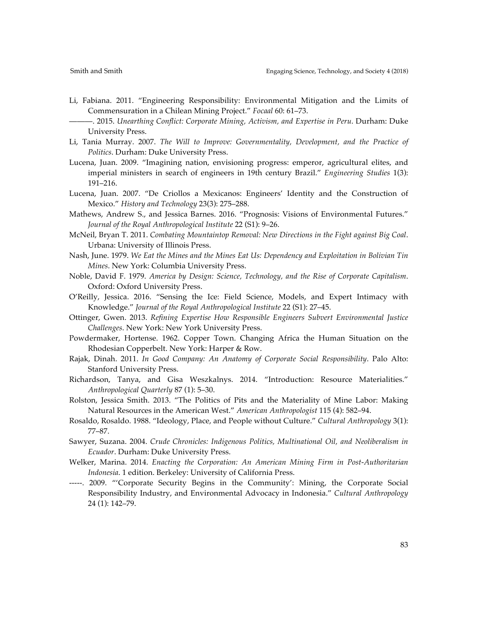- Li, Fabiana. 2011. "Engineering Responsibility: Environmental Mitigation and the Limits of Commensuration in a Chilean Mining Project." *Focaal* 60: 61–73.
	- ———. 2015. *Unearthing Conflict: Corporate Mining, Activism, and Expertise in Peru*. Durham: Duke University Press.
- Li, Tania Murray. 2007. *The Will to Improve: Governmentality, Development, and the Practice of Politics*. Durham: Duke University Press.
- Lucena, Juan. 2009. "Imagining nation, envisioning progress: emperor, agricultural elites, and imperial ministers in search of engineers in 19th century Brazil." *Engineering Studies* 1(3): 191–216.
- Lucena, Juan. 2007. "De Criollos a Mexicanos: Engineers' Identity and the Construction of Mexico." *History and Technology* 23(3): 275–288.
- Mathews, Andrew S., and Jessica Barnes. 2016. "Prognosis: Visions of Environmental Futures." *Journal of the Royal Anthropological Institute* 22 (S1): 9–26.
- McNeil, Bryan T. 2011. *Combating Mountaintop Removal: New Directions in the Fight against Big Coal*. Urbana: University of Illinois Press.
- Nash, June. 1979. *We Eat the Mines and the Mines Eat Us: Dependency and Exploitation in Bolivian Tin Mines*. New York: Columbia University Press.
- Noble, David F. 1979. *America by Design: Science, Technology, and the Rise of Corporate Capitalism*. Oxford: Oxford University Press.
- O'Reilly, Jessica. 2016. "Sensing the Ice: Field Science, Models, and Expert Intimacy with Knowledge." *Journal of the Royal Anthropological Institute* 22 (S1): 27–45.
- Ottinger, Gwen. 2013. *Refining Expertise How Responsible Engineers Subvert Environmental Justice Challenges*. New York: New York University Press.
- Powdermaker, Hortense. 1962. Copper Town. Changing Africa the Human Situation on the Rhodesian Copperbelt. New York: Harper & Row.
- Rajak, Dinah. 2011. *In Good Company: An Anatomy of Corporate Social Responsibility*. Palo Alto: Stanford University Press.
- Richardson, Tanya, and Gisa Weszkalnys. 2014. "Introduction: Resource Materialities." *Anthropological Quarterly* 87 (1): 5–30.
- Rolston, Jessica Smith. 2013. "The Politics of Pits and the Materiality of Mine Labor: Making Natural Resources in the American West." *American Anthropologist* 115 (4): 582–94.
- Rosaldo, Rosaldo. 1988. "Ideology, Place, and People without Culture." *Cultural Anthropology* 3(1): 77–87.
- Sawyer, Suzana. 2004. *Crude Chronicles: Indigenous Politics, Multinational Oil, and Neoliberalism in Ecuador*. Durham: Duke University Press.
- Welker, Marina. 2014. *Enacting the Corporation: An American Mining Firm in Post-Authoritarian Indonesia*. 1 edition. Berkeley: University of California Press.
- -----. 2009. "'Corporate Security Begins in the Community': Mining, the Corporate Social Responsibility Industry, and Environmental Advocacy in Indonesia." *Cultural Anthropology* 24 (1): 142–79.